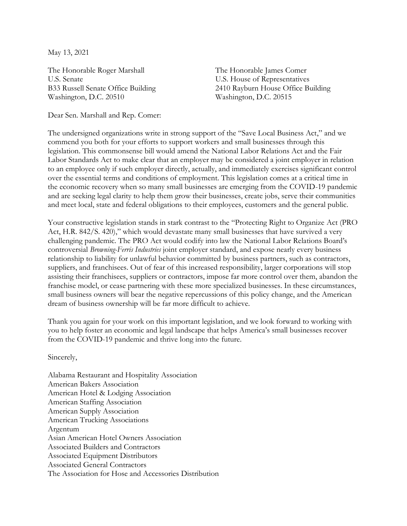May 13, 2021

The Honorable Roger Marshall U.S. Senate B33 Russell Senate Office Building Washington, D.C. 20510

The Honorable James Comer U.S. House of Representatives 2410 Rayburn House Office Building Washington, D.C. 20515

Dear Sen. Marshall and Rep. Comer:

The undersigned organizations write in strong support of the "Save Local Business Act," and we commend you both for your efforts to support workers and small businesses through this legislation. This commonsense bill would amend the National Labor Relations Act and the Fair Labor Standards Act to make clear that an employer may be considered a joint employer in relation to an employee only if such employer directly, actually, and immediately exercises significant control over the essential terms and conditions of employment. This legislation comes at a critical time in the economic recovery when so many small businesses are emerging from the COVID-19 pandemic and are seeking legal clarity to help them grow their businesses, create jobs, serve their communities and meet local, state and federal obligations to their employees, customers and the general public.

Your constructive legislation stands in stark contrast to the "Protecting Right to Organize Act (PRO Act, H.R. 842/S. 420)," which would devastate many small businesses that have survived a very challenging pandemic. The PRO Act would codify into law the National Labor Relations Board's controversial *Browning-Ferris Industries* joint employer standard, and expose nearly every business relationship to liability for unlawful behavior committed by business partners, such as contractors, suppliers, and franchisees. Out of fear of this increased responsibility, larger corporations will stop assisting their franchisees, suppliers or contractors, impose far more control over them, abandon the franchise model, or cease partnering with these more specialized businesses. In these circumstances, small business owners will bear the negative repercussions of this policy change, and the American dream of business ownership will be far more difficult to achieve.

Thank you again for your work on this important legislation, and we look forward to working with you to help foster an economic and legal landscape that helps America's small businesses recover from the COVID-19 pandemic and thrive long into the future.

Sincerely,

Alabama Restaurant and Hospitality Association American Bakers Association American Hotel & Lodging Association American Staffing Association American Supply Association American Trucking Associations Argentum Asian American Hotel Owners Association Associated Builders and Contractors Associated Equipment Distributors Associated General Contractors The Association for Hose and Accessories Distribution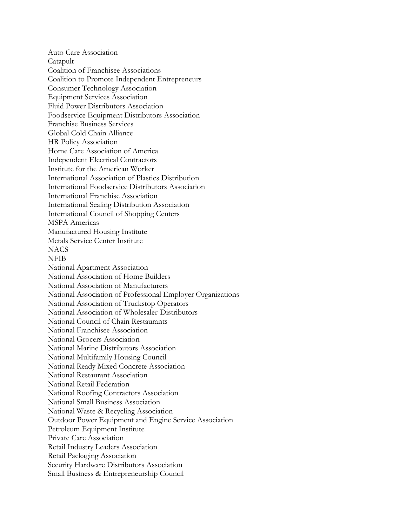Auto Care Association Catapult Coalition of Franchisee Associations Coalition to Promote Independent Entrepreneurs Consumer Technology Association Equipment Services Association Fluid Power Distributors Association Foodservice Equipment Distributors Association Franchise Business Services Global Cold Chain Alliance HR Policy Association Home Care Association of America Independent Electrical Contractors Institute for the American Worker International Association of Plastics Distribution International Foodservice Distributors Association International Franchise Association International Sealing Distribution Association International Council of Shopping Centers MSPA Americas Manufactured Housing Institute Metals Service Center Institute **NACS** NFIB National Apartment Association National Association of Home Builders National Association of Manufacturers National Association of Professional Employer Organizations National Association of Truckstop Operators National Association of Wholesaler-Distributors National Council of Chain Restaurants National Franchisee Association National Grocers Association National Marine Distributors Association National Multifamily Housing Council National Ready Mixed Concrete Association National Restaurant Association National Retail Federation National Roofing Contractors Association National Small Business Association National Waste & Recycling Association Outdoor Power Equipment and Engine Service Association Petroleum Equipment Institute Private Care Association Retail Industry Leaders Association Retail Packaging Association Security Hardware Distributors Association Small Business & Entrepreneurship Council